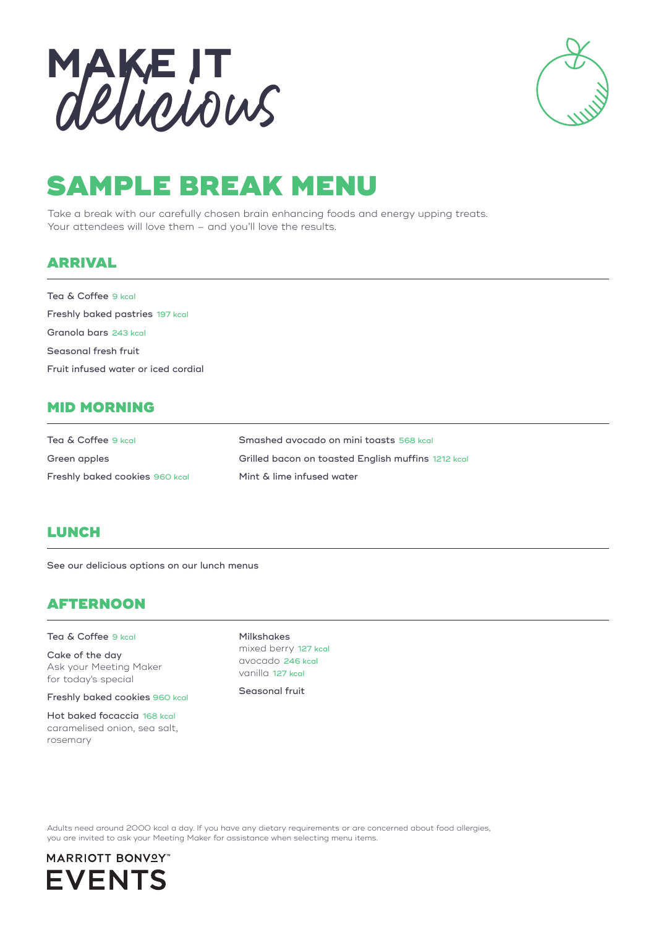

## SAMPLE BREAK MENU

Take a break with our carefully chosen brain enhancing foods and energy upping treats. Your attendees will love them - and you'll love the results.

## ARRIVAL

Tea & Coffee 9 kcal Freshly baked pastries 197 kcal Granola bars 243 kcal Seasonal fresh fruit Fruit infused water or iced cordial

## MID MORNING

| Tea & Coffee 9 kcal            | Smashed avocado on mini toasts 568 kcal            |
|--------------------------------|----------------------------------------------------|
| Green apples                   | Grilled bacon on toasted English muffins 1212 kcal |
| Freshly baked cookies 960 kcal | Mint & lime infused water                          |

## **LUNCH**

See our delicious options on our lunch menus

## AFTERNOON

#### Tea & Coffee 9 kcal

Cake of the day Ask your Meeting Maker for today's special

Freshly baked cookies 960 kcal

Hot baked focaccia 168 kcal caramelised onion, sea salt, rosemary

Milkshakes mixed berry 127 kcal avocado 246 kcal vanilla 127 kcal

Seasonal fruit

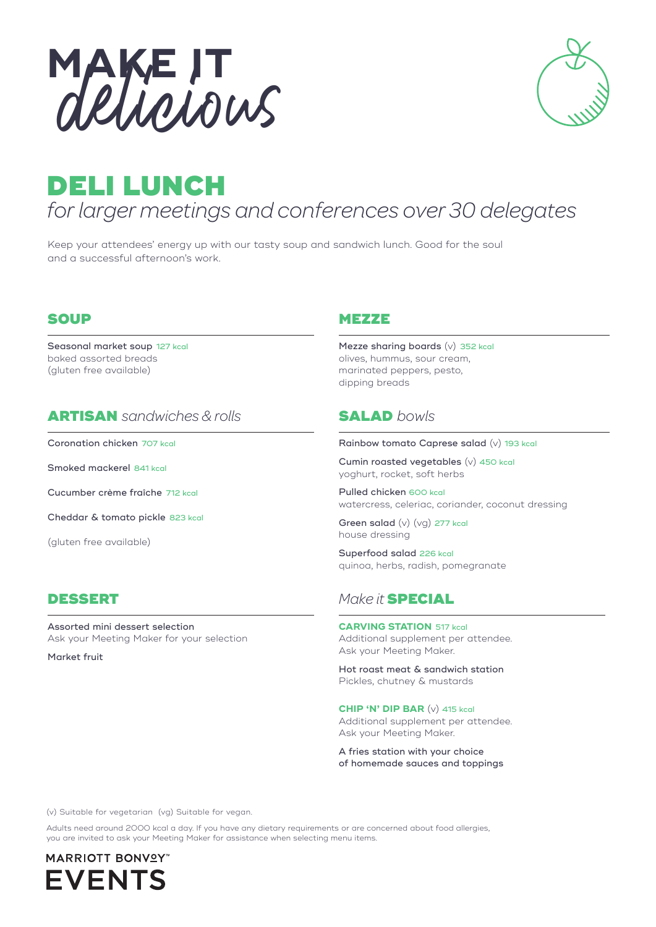



## DELI LUNCH *for larger meetings and conferences over 30 delegates*

Keep your attendees' energy up with our tasty soup and sandwich lunch. Good for the soul and a successful afternoon's work.

#### **SOUP**

Seasonal market soup 127 kcal baked assorted breads (gluten free available)

## ARTISAN *sandwiches & rolls*

Coronation chicken 707 kcal

Smoked mackerel 841 kcal

Cucumber crème fraîche 712 kcal

Cheddar & tomato pickle 823 kcal

(gluten free available)

Assorted mini dessert selection Ask your Meeting Maker for your selection

Market fruit

#### **MEZZE**

Mezze sharing boards (v) 352 kcal olives, hummus, sour cream, marinated peppers, pesto, dipping breads

## SALAD *bowls*

#### Rainbow tomato Caprese salad (v) 193 kcal

Cumin roasted vegetables (v) 450 kcal yoghurt, rocket, soft herbs

Pulled chicken 600 kcal watercress, celeriac, coriander, coconut dressing

Green salad (v) (vg) 277 kcal house dressing

Superfood salad 226 kcal quinoa, herbs, radish, pomegranate

## DESSERT *Make it* SPECIAL

#### **CARVING STATION** 517 kcal

Additional supplement per attendee. Ask your Meeting Maker.

Hot roast meat & sandwich station Pickles, chutney & mustards

#### **CHIP 'N' DIP BAR** (v) 415 kcal

Additional supplement per attendee. Ask your Meeting Maker.

A fries station with your choice of homemade sauces and toppings

(v) Suitable for vegetarian (vg) Suitable for vegan.

Adults need around 2000 kcal a day. If you have any dietary requirements or are concerned about food allergies, you are invited to ask your Meeting Maker for assistance when selecting menu items.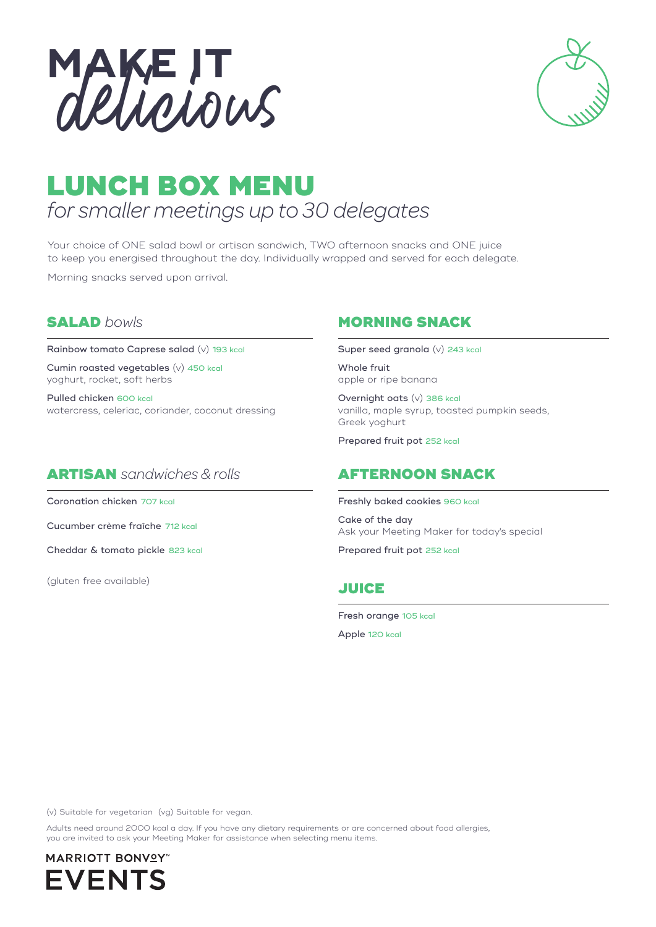



## LUNCH BOX MENU *for smaller meetings up to 30 delegates*

Your choice of ONE salad bowl or artisan sandwich, TWO afternoon snacks and ONE juice to keep you energised throughout the day. Individually wrapped and served for each delegate.

Morning snacks served upon arrival.

## SALAD *bowls*

Rainbow tomato Caprese salad (v) 193 kcal

Cumin roasted vegetables (v) 450 kcal yoghurt, rocket, soft herbs

Pulled chicken 600 kcal watercress, celeriac, coriander, coconut dressing

## ARTISAN *sandwiches & rolls*

Coronation chicken 707 kcal

Cucumber crème fraîche 712 kcal

Cheddar & tomato pickle 823 kcal

(gluten free available)

## MORNING SNACK

Super seed granola (v) 243 kcal

Whole fruit apple or ripe banana

Overnight oats (v) 386 kcal vanilla, maple syrup, toasted pumpkin seeds, Greek yoghurt

Prepared fruit pot 252 kcal

## AFTERNOON SNACK

Freshly baked cookies 960 kcal

Cake of the day Ask your Meeting Maker for today's special

Prepared fruit pot 252 kcal

## JUICE

Fresh orange 105 kcal

Apple 120 kcal

(v) Suitable for vegetarian (vg) Suitable for vegan.

Adults need around 2000 kcal a day. If you have any dietary requirements or are concerned about food allergies, you are invited to ask your Meeting Maker for assistance when selecting menu items.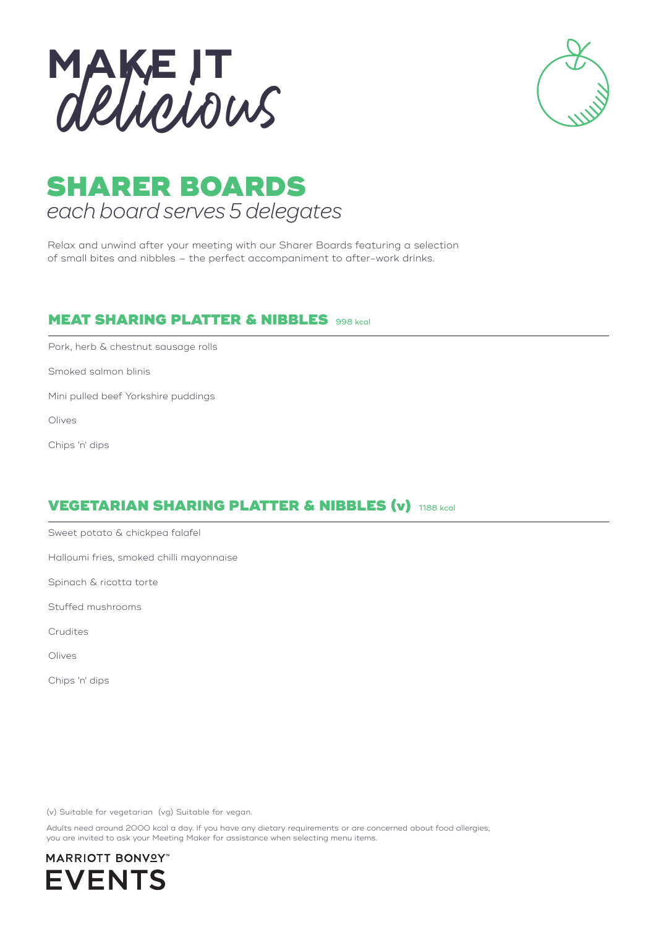



## SHARER BOARDS *each board serves 5 delegates*

Relax and unwind after your meeting with our Sharer Boards featuring a selection of small bites and nibbles – the perfect accompaniment to after-work drinks.

## **MEAT SHARING PLATTER & NIBBLES** 998 kcal

Pork, herb & chestnut sausage rolls

Smoked salmon blinis

Mini pulled beef Yorkshire puddings

Olives

Chips 'n' dips

## VEGETARIAN SHARING PLATTER & NIBBLES (v) 1188 kcal

Sweet potato & chickpea falafel

Halloumi fries, smoked chilli mayonnaise

Spinach & ricotta torte

Stuffed mushrooms

Crudites

Olives

Chips 'n' dips

(v) Suitable for vegetarian (vg) Suitable for vegan.

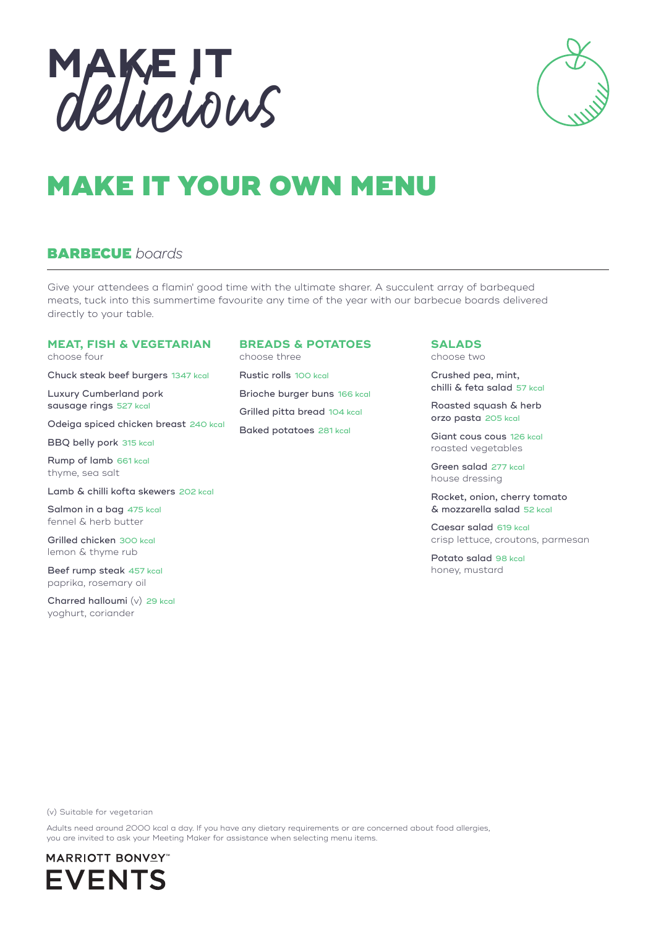



# MAKE IT YOUR OWN MENU

## BARBECUE *boards*

Give your attendees a flamin' good time with the ultimate sharer. A succulent array of barbequed meats, tuck into this summertime favourite any time of the year with our barbecue boards delivered directly to your table.

#### **MEAT, FISH & VEGETARIAN**

choose four

Chuck steak beef burgers 1347 kcal

Luxury Cumberland pork sausage rings 527 kcal

Odeiga spiced chicken breast 240 kcal

BBQ belly pork 315 kcal

Rump of lamb 661 kcal thyme, sea salt

Lamb & chilli kofta skewers 202 kcal

Salmon in a bag 475 kcal fennel & herb butter

Grilled chicken 300 kcal lemon & thyme rub

Beef rump steak 457 kcal paprika, rosemary oil

Charred halloumi (v) 29 kcal yoghurt, coriander

### **BREADS & POTATOES**

choose three Rustic rolls 100 kcal Brioche burger buns 166 kcal Grilled pitta bread 104 kcal Baked potatoes 281 kcal

#### **SALADS**

choose two

Crushed pea, mint, chilli & feta salad 57 kcal

Roasted squash & herb orzo pasta 205 kcal

Giant cous cous 126 kcal roasted vegetables

Green salad 277 kcal house dressing

Rocket, onion, cherry tomato & mozzarella salad 52 kcal

Caesar salad 619 kcal crisp lettuce, croutons, parmesan

Potato salad 98 kcal honey, mustard

(v) Suitable for vegetarian

Adults need around 2000 kcal a day. If you have any dietary requirements or are concerned about food allergies, you are invited to ask your Meeting Maker for assistance when selecting menu items.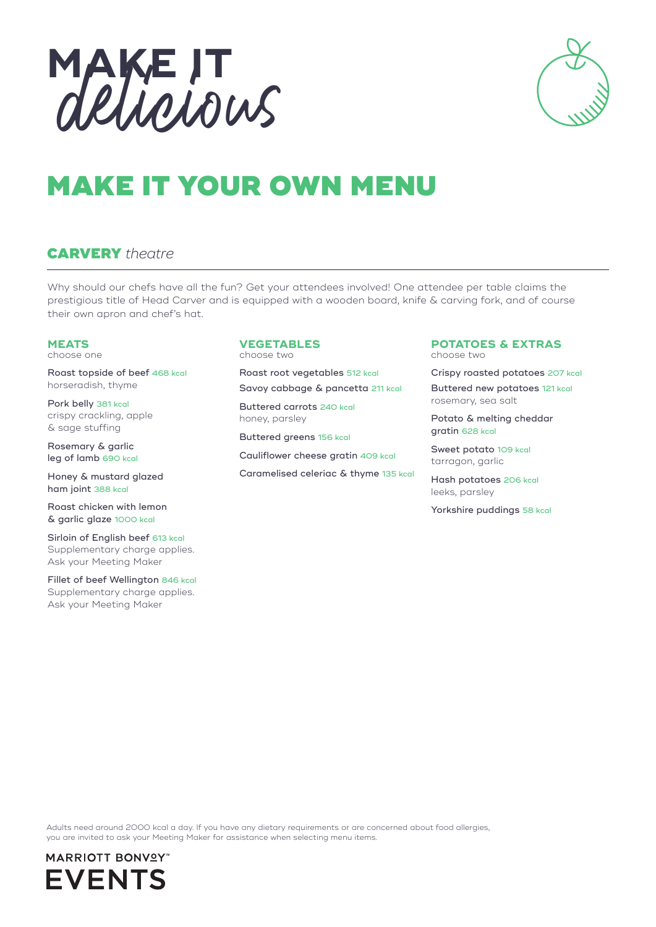



# MAKE IT YOUR OWN MENU

## CARVERY *theatre*

Why should our chefs have all the fun? Get your attendees involved! One attendee per table claims the prestigious title of Head Carver and is equipped with a wooden board, knife & carving fork, and of course their own apron and chef's hat.

#### **MEATS**

choose one

Roast topside of beef 468 kcal horseradish, thyme

Pork belly 381 kcal crispy crackling, apple & sage stuffing

Rosemary & garlic leg of lamb 690 kcal

Honey & mustard glazed ham joint 388 kcal

Roast chicken with lemon & garlic glaze 1000 kcal

Sirloin of English beef 613 kcal Supplementary charge applies. Ask your Meeting Maker

Fillet of beef Wellington 846 kcal Supplementary charge applies. Ask your Meeting Maker

### **VEGETABLES**

choose two

Roast root vegetables 512 kcal Savoy cabbage & pancetta 211 kcal

Buttered carrots 240 kcal honey, parsley

Buttered greens 156 kcal

Cauliflower cheese gratin 409 kcal

Caramelised celeriac & thyme 135 kcal

#### **POTATOES & EXTRAS** choose two

Crispy roasted potatoes 207 kcal Buttered new potatoes 121 kcal rosemary, sea salt

Potato & melting cheddar gratin 628 kcal

Sweet potato 109 kcal tarragon, garlic

Hash potatoes 206 kcal leeks, parsley

Yorkshire puddings 58 kcal

Adults need around 2000 kcal a day. If you have any dietary requirements or are concerned about food allergies, you are invited to ask your Meeting Maker for assistance when selecting menu items.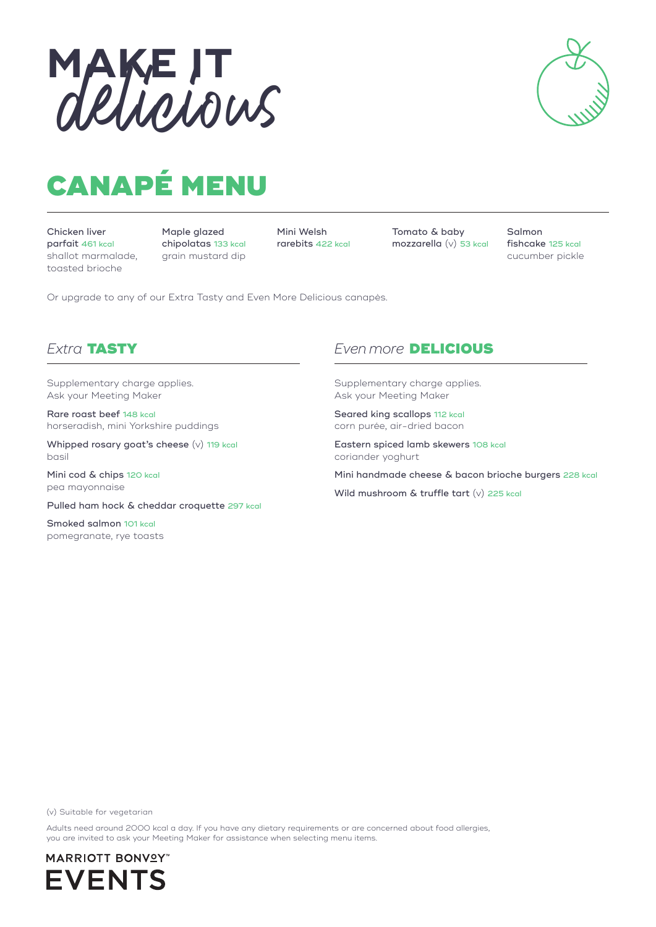



# CANAPÉ MENU

Chicken liver parfait 461 kcal shallot marmalade, toasted brioche

Maple glazed chipolatas 133 kcal grain mustard dip

Mini Welsh rarebits 422 kcal Tomato & baby mozzarella (v) 53 kcal Salmon fishcake 125 kcal cucumber pickle

Or upgrade to any of our Extra Tasty and Even More Delicious canapès.

Supplementary charge applies. Ask your Meeting Maker

Rare roast beef 148 kcal horseradish, mini Yorkshire puddings

Whipped rosary goat's cheese (v) 119 kcal basil

Mini cod & chips 120 kcal pea mayonnaise

Pulled ham hock & cheddar croquette 297 kcal

Smoked salmon 101 kcal pomegranate, rye toasts

## *Extra* TASTY *Even more* DELICIOUS

Supplementary charge applies. Ask your Meeting Maker

Seared king scallops 112 kcal corn purée, air-dried bacon

Eastern spiced lamb skewers 108 kcal coriander yoghurt

Mini handmade cheese & bacon brioche burgers 228 kcal

Wild mushroom & truffle tart (v) 225 kcal

(v) Suitable for vegetarian

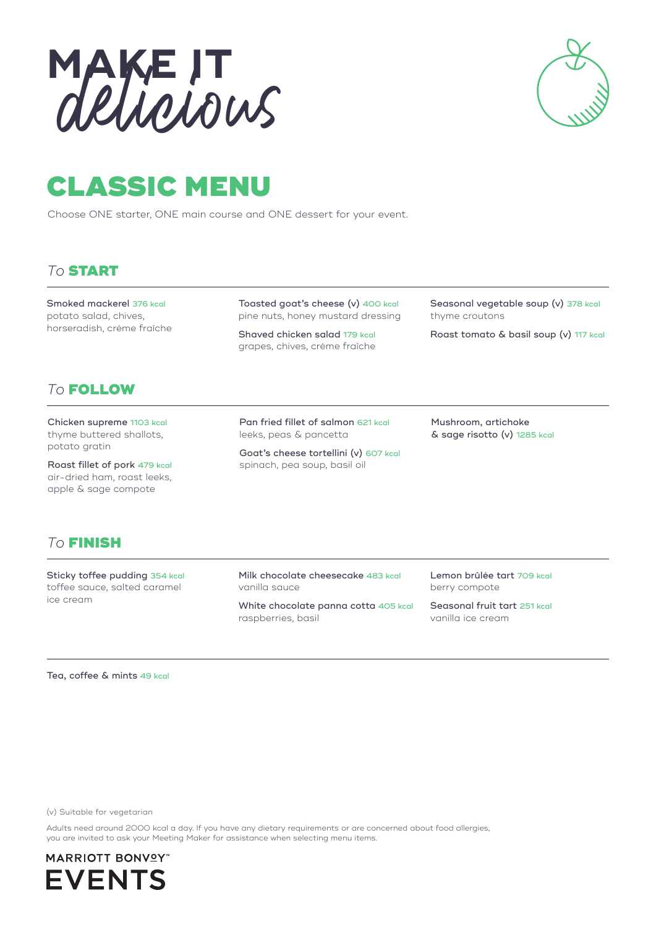



## CLASSIC MENU

Choose ONE starter, ONE main course and ONE dessert for your event.

## *To* START

Smoked mackerel 376 kcal potato salad, chives, horseradish, crème fraîche Toasted goat's cheese (v) 400 kcal pine nuts, honey mustard dressing

Shaved chicken salad 179 kcal grapes, chives, crème fraîche

Seasonal vegetable soup (v) 378 kcal thyme croutons

Roast tomato & basil soup (v) 117 kcal

## *To* FOLLOW

Chicken supreme 1103 kcal thyme buttered shallots, potato gratin

Roast fillet of pork 479 kcal air-dried ham, roast leeks, apple & sage compote

Pan fried fillet of salmon 621 kcal leeks, peas & pancetta

Goat's cheese tortellini (v) 607 kcal spinach, pea soup, basil oil

Mushroom, artichoke & sage risotto (v) 1285 kcal

## *To* FINISH

Sticky toffee pudding 354 kcal toffee sauce, salted caramel ice cream

Milk chocolate cheesecake 483 kcal vanilla sauce

White chocolate panna cotta 405 kcal raspberries, basil

Lemon brûlée tart 709 kcal berry compote

Seasonal fruit tart 251 kcal vanilla ice cream

Tea, coffee & mints 49 kcal

(v) Suitable for vegetarian

Adults need around 2000 kcal a day. If you have any dietary requirements or are concerned about food allergies, you are invited to ask your Meeting Maker for assistance when selecting menu items.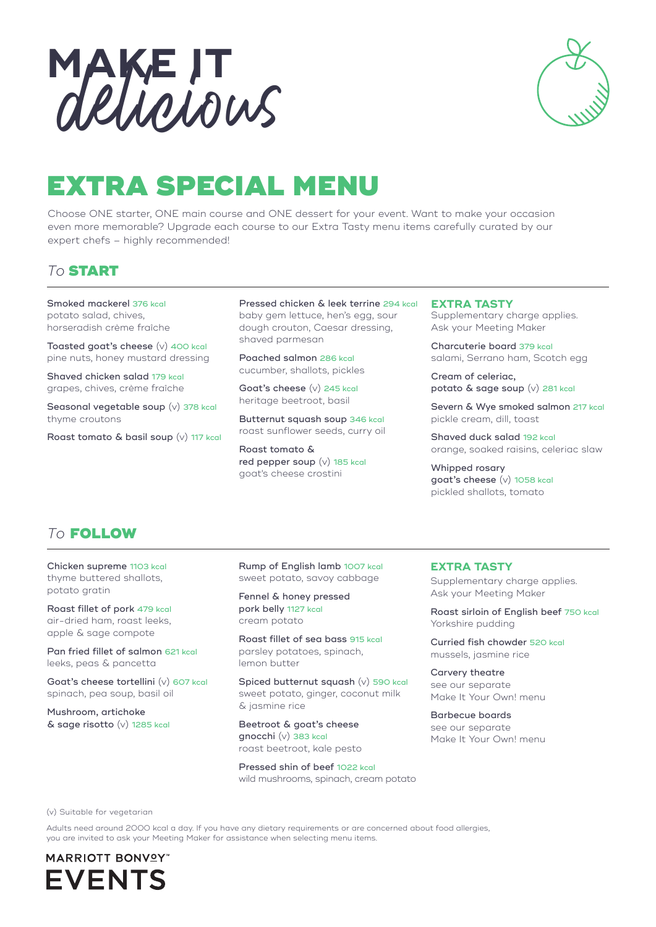

## EXTRA SPECIAL MENU

Choose ONE starter, ONE main course and ONE dessert for your event. Want to make your occasion even more memorable? Upgrade each course to our Extra Tasty menu items carefully curated by our expert chefs – highly recommended!

## *To* START

Smoked mackerel 376 kcal potato salad, chives, horseradish crème fraîche

Toasted goat's cheese (v) 400 kcal pine nuts, honey mustard dressing

Shaved chicken salad 179 kcal grapes, chives, crème fraîche

Seasonal vegetable soup (v) 378 kcal thyme croutons

Roast tomato & basil soup (v) 117 kcal

Pressed chicken & leek terrine 294 kcal baby gem lettuce, hen's egg, sour dough crouton, Caesar dressing, shaved parmesan

Poached salmon 286 kcal cucumber, shallots, pickles

Goat's cheese (v) 245 kcal heritage beetroot, basil

Butternut squash soup 346 kcal roast sunflower seeds, curry oil

Roast tomato & red pepper soup (v) 185 kcal goat's cheese crostini

#### **EXTRA TASTY**

Supplementary charge applies. Ask your Meeting Maker

Charcuterie board 379 kcal salami, Serrano ham, Scotch egg

Cream of celeriac, potato & sage soup (v) 281 kcal

Severn & Wye smoked salmon 217 kcal pickle cream, dill, toast

Shaved duck salad 192 kcal orange, soaked raisins, celeriac slaw

Whipped rosary goat's cheese (v) 1058 kcal pickled shallots, tomato

## *To* FOLLOW

Chicken supreme 1103 kcal thyme buttered shallots, potato gratin

Roast fillet of pork 479 kcal air-dried ham, roast leeks, apple & sage compote

Pan fried fillet of salmon 621 kcal leeks, peas & pancetta

Goat's cheese tortellini (v) 607 kcal spinach, pea soup, basil oil

Mushroom, artichoke & sage risotto (v) 1285 kcal Rump of English lamb 1007 kcal sweet potato, savoy cabbage

Fennel & honey pressed pork belly 1127 kcal cream potato

Roast fillet of sea bass 915 kcal parsley potatoes, spinach, lemon butter

Spiced butternut squash (v) 590 kcal sweet potato, ginger, coconut milk & jasmine rice

Beetroot & goat's cheese gnocchi (v) 383 kcal roast beetroot, kale pesto

Pressed shin of beef 1022 kcal wild mushrooms, spinach, cream potato

#### **EXTRA TASTY**

Supplementary charge applies. Ask your Meeting Maker

Roast sirloin of English beef 750 kcal Yorkshire pudding

Curried fish chowder 520 kcal mussels, jasmine rice

Carvery theatre see our separate Make It Your Own! menu

Barbecue boards see our separate Make It Your Own! menu

(v) Suitable for vegetarian

Adults need around 2000 kcal a day. If you have any dietary requirements or are concerned about food allergies, you are invited to ask your Meeting Maker for assistance when selecting menu items.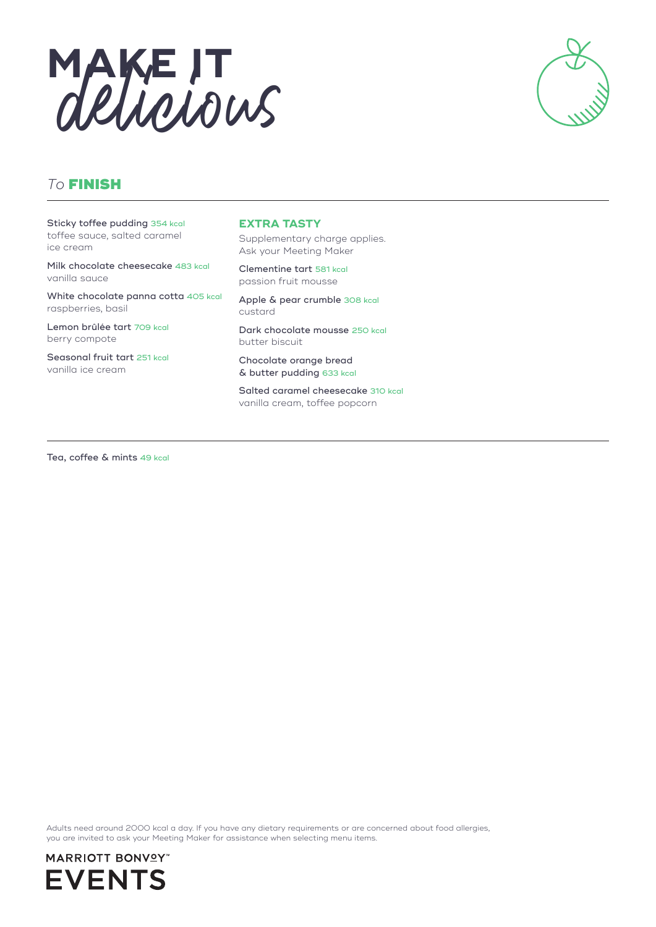



## *To* FINISH

Sticky toffee pudding 354 kcal toffee sauce, salted caramel ice cream

Milk chocolate cheesecake 483 kcal vanilla sauce

White chocolate panna cotta 405 kcal raspberries, basil

Lemon brûlée tart 709 kcal berry compote

Seasonal fruit tart 251 kcal vanilla ice cream

#### **EXTRA TASTY**

Supplementary charge applies. Ask your Meeting Maker

Clementine tart 581 kcal passion fruit mousse

Apple & pear crumble 308 kcal custard

Dark chocolate mousse 250 kcal butter biscuit

Chocolate orange bread & butter pudding 633 kcal

Salted caramel cheesecake 310 kcal vanilla cream, toffee popcorn

Tea, coffee & mints 49 kcal